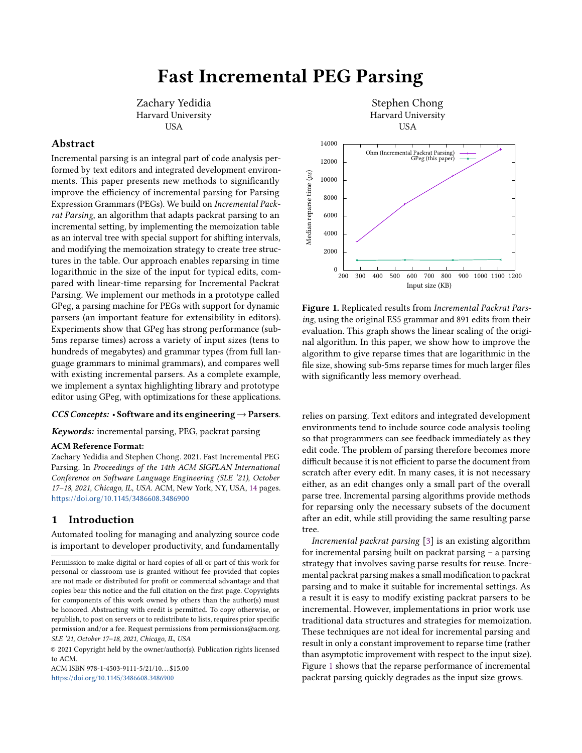# Fast Incremental PEG Parsing

Zachary Yedidia Harvard University USA

### Abstract

Incremental parsing is an integral part of code analysis performed by text editors and integrated development environments. This paper presents new methods to significantly improve the efficiency of incremental parsing for Parsing Expression Grammars (PEGs). We build on Incremental Packrat Parsing, an algorithm that adapts packrat parsing to an incremental setting, by implementing the memoization table as an interval tree with special support for shifting intervals, and modifying the memoization strategy to create tree structures in the table. Our approach enables reparsing in time logarithmic in the size of the input for typical edits, compared with linear-time reparsing for Incremental Packrat Parsing. We implement our methods in a prototype called GPeg, a parsing machine for PEGs with support for dynamic parsers (an important feature for extensibility in editors). Experiments show that GPeg has strong performance (sub-5ms reparse times) across a variety of input sizes (tens to hundreds of megabytes) and grammar types (from full language grammars to minimal grammars), and compares well with existing incremental parsers. As a complete example, we implement a syntax highlighting library and prototype editor using GPeg, with optimizations for these applications.

#### $CCS Concepts:$  • Software and its engineering  $\rightarrow$  Parsers.

Keywords: incremental parsing, PEG, packrat parsing

#### ACM Reference Format:

Zachary Yedidia and Stephen Chong. 2021. Fast Incremental PEG Parsing. In Proceedings of the 14th ACM SIGPLAN International Conference on Software Language Engineering (SLE '21), October 17–18, 2021, Chicago, IL, USA. ACM, New York, NY, USA, [14](#page-13-0) pages. <https://doi.org/10.1145/3486608.3486900>

## 1 Introduction

Automated tooling for managing and analyzing source code is important to developer productivity, and fundamentally

© 2021 Copyright held by the owner/author(s). Publication rights licensed to ACM.

ACM ISBN 978-1-4503-9111-5/21/10 \$15.00 <https://doi.org/10.1145/3486608.3486900>

<span id="page-0-0"></span>

Figure 1. Replicated results from Incremental Packrat Parsing, using the original ES5 grammar and 891 edits from their evaluation. This graph shows the linear scaling of the original algorithm. In this paper, we show how to improve the algorithm to give reparse times that are logarithmic in the file size, showing sub-5ms reparse times for much larger files with significantly less memory overhead.

relies on parsing. Text editors and integrated development environments tend to include source code analysis tooling so that programmers can see feedback immediately as they edit code. The problem of parsing therefore becomes more difficult because it is not efficient to parse the document from scratch after every edit. In many cases, it is not necessary either, as an edit changes only a small part of the overall parse tree. Incremental parsing algorithms provide methods for reparsing only the necessary subsets of the document after an edit, while still providing the same resulting parse tree.

Incremental packrat parsing [\[3\]](#page-13-1) is an existing algorithm for incremental parsing built on packrat parsing – a parsing strategy that involves saving parse results for reuse. Incremental packrat parsing makes a small modification to packrat parsing and to make it suitable for incremental settings. As a result it is easy to modify existing packrat parsers to be incremental. However, implementations in prior work use traditional data structures and strategies for memoization. These techniques are not ideal for incremental parsing and result in only a constant improvement to reparse time (rather than asymptotic improvement with respect to the input size). Figure [1](#page-0-0) shows that the reparse performance of incremental packrat parsing quickly degrades as the input size grows.

Permission to make digital or hard copies of all or part of this work for personal or classroom use is granted without fee provided that copies are not made or distributed for profit or commercial advantage and that copies bear this notice and the full citation on the first page. Copyrights for components of this work owned by others than the author(s) must be honored. Abstracting with credit is permitted. To copy otherwise, or republish, to post on servers or to redistribute to lists, requires prior specific permission and/or a fee. Request permissions from permissions@acm.org. SLE '21, October 17–18, 2021, Chicago, IL, USA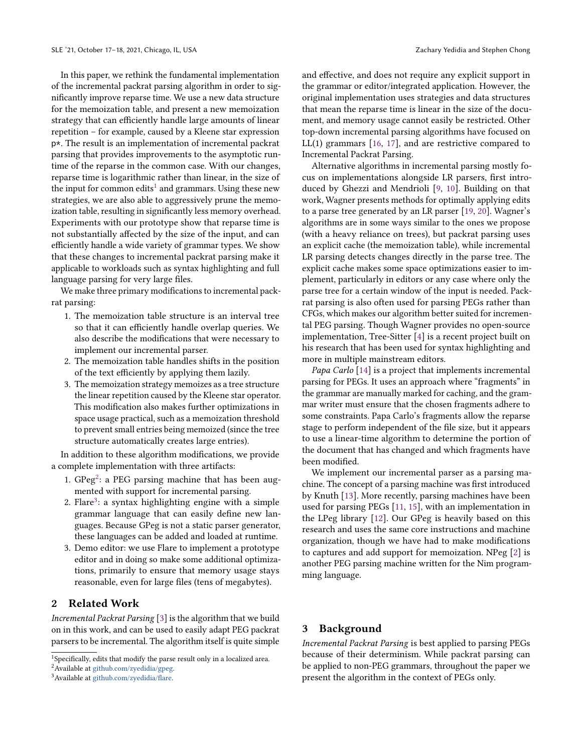In this paper, we rethink the fundamental implementation of the incremental packrat parsing algorithm in order to significantly improve reparse time. We use a new data structure for the memoization table, and present a new memoization strategy that can efficiently handle large amounts of linear repetition – for example, caused by a Kleene star expression p\*. The result is an implementation of incremental packrat parsing that provides improvements to the asymptotic runtime of the reparse in the common case. With our changes, reparse time is logarithmic rather than linear, in the size of the input for common edits<sup>[1](#page-1-0)</sup> and grammars. Using these new strategies, we are also able to aggressively prune the memoization table, resulting in significantly less memory overhead. Experiments with our prototype show that reparse time is not substantially affected by the size of the input, and can efficiently handle a wide variety of grammar types. We show that these changes to incremental packrat parsing make it applicable to workloads such as syntax highlighting and full language parsing for very large files.

We make three primary modifications to incremental packrat parsing:

- 1. The memoization table structure is an interval tree so that it can efficiently handle overlap queries. We also describe the modifications that were necessary to implement our incremental parser.
- 2. The memoization table handles shifts in the position of the text efficiently by applying them lazily.
- 3. The memoization strategy memoizes as a tree structure the linear repetition caused by the Kleene star operator. This modification also makes further optimizations in space usage practical, such as a memoization threshold to prevent small entries being memoized (since the tree structure automatically creates large entries).

In addition to these algorithm modifications, we provide a complete implementation with three artifacts:

- 1.  $GPeg^2$  $GPeg^2$ : a PEG parsing machine that has been augmented with support for incremental parsing.
- 2. Flare<sup>[3](#page-1-2)</sup>: a syntax highlighting engine with a simple grammar language that can easily define new languages. Because GPeg is not a static parser generator, these languages can be added and loaded at runtime.
- 3. Demo editor: we use Flare to implement a prototype editor and in doing so make some additional optimizations, primarily to ensure that memory usage stays reasonable, even for large files (tens of megabytes).

# 2 Related Work

Incremental Packrat Parsing [\[3\]](#page-13-1) is the algorithm that we build on in this work, and can be used to easily adapt PEG packrat parsers to be incremental. The algorithm itself is quite simple

and effective, and does not require any explicit support in the grammar or editor/integrated application. However, the original implementation uses strategies and data structures that mean the reparse time is linear in the size of the document, and memory usage cannot easily be restricted. Other top-down incremental parsing algorithms have focused on LL(1) grammars [\[16,](#page-13-2) [17\]](#page-13-3), and are restrictive compared to Incremental Packrat Parsing.

Alternative algorithms in incremental parsing mostly focus on implementations alongside LR parsers, first introduced by Ghezzi and Mendrioli [\[9,](#page-13-4) [10\]](#page-13-5). Building on that work, Wagner presents methods for optimally applying edits to a parse tree generated by an LR parser [\[19,](#page-13-6) [20\]](#page-13-7). Wagner's algorithms are in some ways similar to the ones we propose (with a heavy reliance on trees), but packrat parsing uses an explicit cache (the memoization table), while incremental LR parsing detects changes directly in the parse tree. The explicit cache makes some space optimizations easier to implement, particularly in editors or any case where only the parse tree for a certain window of the input is needed. Packrat parsing is also often used for parsing PEGs rather than CFGs, which makes our algorithm better suited for incremental PEG parsing. Though Wagner provides no open-source implementation, Tree-Sitter [\[4\]](#page-13-8) is a recent project built on his research that has been used for syntax highlighting and more in multiple mainstream editors.

Papa Carlo [\[14\]](#page-13-9) is a project that implements incremental parsing for PEGs. It uses an approach where "fragments" in the grammar are manually marked for caching, and the grammar writer must ensure that the chosen fragments adhere to some constraints. Papa Carlo's fragments allow the reparse stage to perform independent of the file size, but it appears to use a linear-time algorithm to determine the portion of the document that has changed and which fragments have been modified.

We implement our incremental parser as a parsing machine. The concept of a parsing machine was first introduced by Knuth [\[13\]](#page-13-10). More recently, parsing machines have been used for parsing PEGs [\[11,](#page-13-11) [15\]](#page-13-12), with an implementation in the LPeg library [\[12\]](#page-13-13). Our GPeg is heavily based on this research and uses the same core instructions and machine organization, though we have had to make modifications to captures and add support for memoization. NPeg [\[2\]](#page-13-14) is another PEG parsing machine written for the Nim programming language.

## 3 Background

Incremental Packrat Parsing is best applied to parsing PEGs because of their determinism. While packrat parsing can be applied to non-PEG grammars, throughout the paper we present the algorithm in the context of PEGs only.

<span id="page-1-0"></span><sup>1</sup>Specifically, edits that modify the parse result only in a localized area.

<span id="page-1-1"></span><sup>2</sup>Available at [github.com/zyedidia/gpeg.](https://github.com/zyedidia/gpeg)

<span id="page-1-2"></span><sup>3</sup>Available at [github.com/zyedidia/flare.](https://github.com/zyedidia/flare)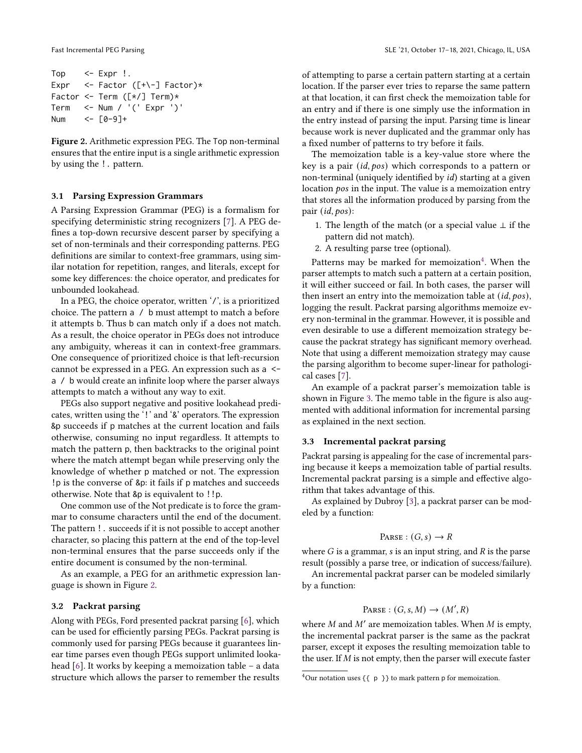```
Top <- Expr !.
Expr \leq- Factor ([+\-] Factor)*
Factor <- Term ([*/] Term)*
Term <- Num / '(' Expr ')'
Num <- \sqrt{0}-9]+
```
Figure 2. Arithmetic expression PEG. The Top non-terminal ensures that the entire input is a single arithmetic expression by using the !. pattern.

#### 3.1 Parsing Expression Grammars

A Parsing Expression Grammar (PEG) is a formalism for specifying deterministic string recognizers [\[7\]](#page-13-15). A PEG defines a top-down recursive descent parser by specifying a set of non-terminals and their corresponding patterns. PEG definitions are similar to context-free grammars, using similar notation for repetition, ranges, and literals, except for some key differences: the choice operator, and predicates for unbounded lookahead.

In a PEG, the choice operator, written '/', is a prioritized choice. The pattern a / b must attempt to match a before it attempts b. Thus b can match only if a does not match. As a result, the choice operator in PEGs does not introduce any ambiguity, whereas it can in context-free grammars. One consequence of prioritized choice is that left-recursion cannot be expressed in a PEG. An expression such as a < a / b would create an infinite loop where the parser always attempts to match a without any way to exit.

PEGs also support negative and positive lookahead predicates, written using the '!' and '&' operators. The expression &p succeeds if p matches at the current location and fails otherwise, consuming no input regardless. It attempts to match the pattern p, then backtracks to the original point where the match attempt began while preserving only the knowledge of whether p matched or not. The expression !p is the converse of &p: it fails if p matches and succeeds otherwise. Note that &p is equivalent to !!p.

One common use of the Not predicate is to force the grammar to consume characters until the end of the document. The pattern !. succeeds if it is not possible to accept another character, so placing this pattern at the end of the top-level non-terminal ensures that the parse succeeds only if the entire document is consumed by the non-terminal.

As an example, a PEG for an arithmetic expression language is shown in Figure [2.](#page-2-0)

#### 3.2 Packrat parsing

Along with PEGs, Ford presented packrat parsing [\[6\]](#page-13-16), which can be used for efficiently parsing PEGs. Packrat parsing is commonly used for parsing PEGs because it guarantees linear time parses even though PEGs support unlimited lookahead [\[6\]](#page-13-16). It works by keeping a memoization table – a data structure which allows the parser to remember the results

of attempting to parse a certain pattern starting at a certain location. If the parser ever tries to reparse the same pattern at that location, it can first check the memoization table for an entry and if there is one simply use the information in the entry instead of parsing the input. Parsing time is linear because work is never duplicated and the grammar only has a fixed number of patterns to try before it fails.

The memoization table is a key-value store where the key is a pair  $(id, pos)$  which corresponds to a pattern or non-terminal (uniquely identified by id) starting at a given location  $pos$  in the input. The value is a memoization entry that stores all the information produced by parsing from the pair  $(id, pos)$ :

- 1. The length of the match (or a special value  $\perp$  if the pattern did not match).
- 2. A resulting parse tree (optional).

Patterns may be marked for memoization<sup>[4](#page-2-1)</sup>. When the parser attempts to match such a pattern at a certain position, it will either succeed or fail. In both cases, the parser will then insert an entry into the memoization table at  $(id, pos)$ , logging the result. Packrat parsing algorithms memoize every non-terminal in the grammar. However, it is possible and even desirable to use a different memoization strategy because the packrat strategy has significant memory overhead. Note that using a different memoization strategy may cause the parsing algorithm to become super-linear for pathological cases [\[7\]](#page-13-15).

An example of a packrat parser's memoization table is shown in Figure [3.](#page-3-0) The memo table in the figure is also augmented with additional information for incremental parsing as explained in the next section.

#### 3.3 Incremental packrat parsing

Packrat parsing is appealing for the case of incremental parsing because it keeps a memoization table of partial results. Incremental packrat parsing is a simple and effective algorithm that takes advantage of this.

As explained by Dubroy [\[3\]](#page-13-1), a packrat parser can be modeled by a function:

$$
PARSE: (G, s) \rightarrow R
$$

where  $G$  is a grammar,  $s$  is an input string, and  $R$  is the parse result (possibly a parse tree, or indication of success/failure).

An incremental packrat parser can be modeled similarly by a function:

# PARSE :  $(G, s, M) \rightarrow (M', R)$

where  $M$  and  $M'$  are memoization tables. When  $M$  is empty, the incremental packrat parser is the same as the packrat parser, except it exposes the resulting memoization table to the user. If  $M$  is not empty, then the parser will execute faster

<span id="page-2-1"></span><sup>&</sup>lt;sup>4</sup>Our notation uses { $\{$  p  $\}$ } to mark pattern p for memoization.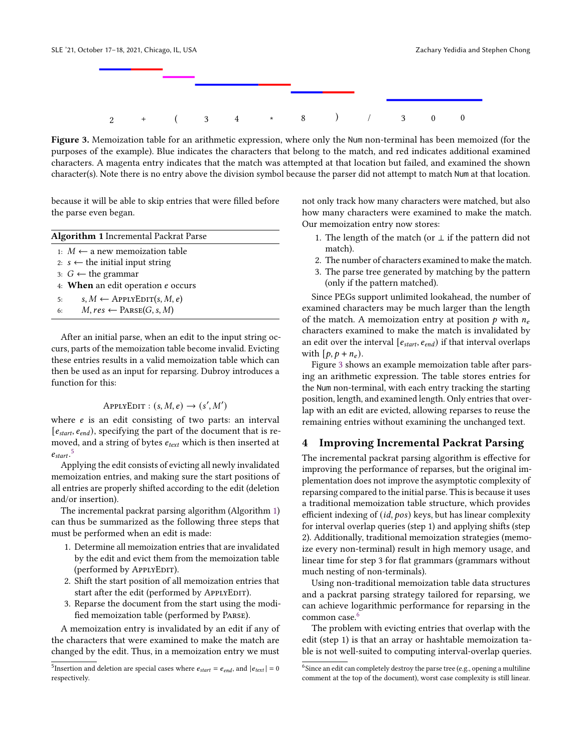<span id="page-3-0"></span>

Figure 3. Memoization table for an arithmetic expression, where only the Num non-terminal has been memoized (for the purposes of the example). Blue indicates the characters that belong to the match, and red indicates additional examined characters. A magenta entry indicates that the match was attempted at that location but failed, and examined the shown character(s). Note there is no entry above the division symbol because the parser did not attempt to match Num at that location.

because it will be able to skip entries that were filled before the parse even began.

<span id="page-3-2"></span>

| <b>Algorithm 1</b> Incremental Packrat Parse  |  |  |  |  |  |  |
|-----------------------------------------------|--|--|--|--|--|--|
| 1: $M$ ← a new memoization table              |  |  |  |  |  |  |
| 2: $s \leftarrow$ the initial input string    |  |  |  |  |  |  |
| 3: $G$ ← the grammar                          |  |  |  |  |  |  |
| 4: When an edit operation e occurs            |  |  |  |  |  |  |
| $s, M \leftarrow$ ApplyEDIT $(s, M, e)$<br>5: |  |  |  |  |  |  |
| $M, res \leftarrow$ PARSE(G, s, M)<br>6:      |  |  |  |  |  |  |
|                                               |  |  |  |  |  |  |

After an initial parse, when an edit to the input string occurs, parts of the memoization table become invalid. Evicting these entries results in a valid memoization table which can then be used as an input for reparsing. Dubroy introduces a function for this:

# $APPLYEDIT : (s, M, e) \rightarrow (s', M')$

where  $e$  is an edit consisting of two parts: an interval  $[e_{start}, e_{end})$ , specifying the part of the document that is removed, and a string of bytes  $e_{text}$  which is then inserted at  $e_{start}$ .<sup>[5](#page-3-1)</sup>

Applying the edit consists of evicting all newly invalidated memoization entries, and making sure the start positions of all entries are properly shifted according to the edit (deletion and/or insertion).

The incremental packrat parsing algorithm (Algorithm [1\)](#page-3-2) can thus be summarized as the following three steps that must be performed when an edit is made:

- 1. Determine all memoization entries that are invalidated by the edit and evict them from the memoization table (performed by APPLYEDIT).
- 2. Shift the start position of all memoization entries that start after the edit (performed by APPLYEDIT).
- 3. Reparse the document from the start using the modified memoization table (performed by Parse).

A memoization entry is invalidated by an edit if any of the characters that were examined to make the match are changed by the edit. Thus, in a memoization entry we must

not only track how many characters were matched, but also how many characters were examined to make the match. Our memoization entry now stores:

- 1. The length of the match (or  $\perp$  if the pattern did not match).
- 2. The number of characters examined to make the match.
- 3. The parse tree generated by matching by the pattern (only if the pattern matched).

Since PEGs support unlimited lookahead, the number of examined characters may be much larger than the length of the match. A memoization entry at position  $p$  with  $n_e$ characters examined to make the match is invalidated by an edit over the interval  $[e_{start}, e_{end}]$  if that interval overlaps with  $[p, p + n_e)$ .

Figure [3](#page-3-0) shows an example memoization table after parsing an arithmetic expression. The table stores entries for the Num non-terminal, with each entry tracking the starting position, length, and examined length. Only entries that overlap with an edit are evicted, allowing reparses to reuse the remaining entries without examining the unchanged text.

# 4 Improving Incremental Packrat Parsing

The incremental packrat parsing algorithm is effective for improving the performance of reparses, but the original implementation does not improve the asymptotic complexity of reparsing compared to the initial parse. This is because it uses a traditional memoization table structure, which provides efficient indexing of  $(id, pos)$  keys, but has linear complexity for interval overlap queries (step 1) and applying shifts (step 2). Additionally, traditional memoization strategies (memoize every non-terminal) result in high memory usage, and linear time for step 3 for flat grammars (grammars without much nesting of non-terminals).

Using non-traditional memoization table data structures and a packrat parsing strategy tailored for reparsing, we can achieve logarithmic performance for reparsing in the common case.<sup>[6](#page-3-3)</sup>

The problem with evicting entries that overlap with the edit (step 1) is that an array or hashtable memoization table is not well-suited to computing interval-overlap queries.

<span id="page-3-1"></span><sup>&</sup>lt;sup>5</sup> Insertion and deletion are special cases where  $e_{start} = e_{end}$ , and  $|e_{text}| = 0$ respectively.

<span id="page-3-3"></span> $^6$  Since an edit can completely destroy the parse tree (e.g., opening a multiline comment at the top of the document), worst case complexity is still linear.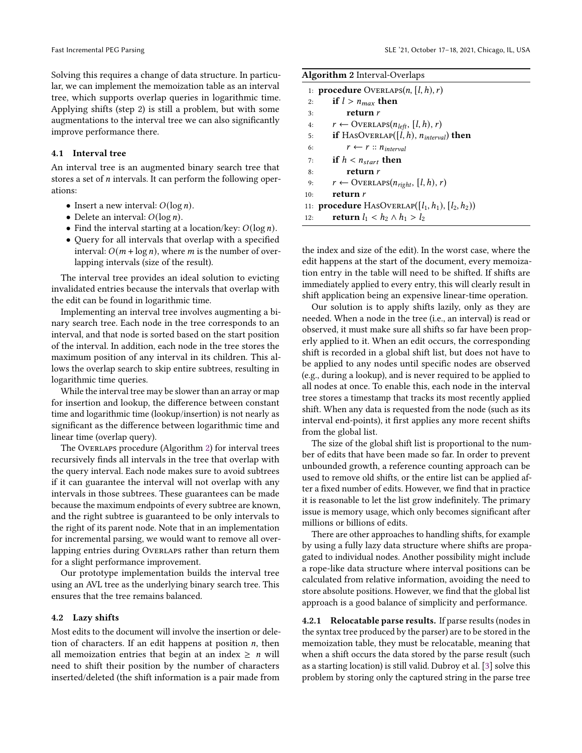Solving this requires a change of data structure. In particular, we can implement the memoization table as an interval tree, which supports overlap queries in logarithmic time. Applying shifts (step 2) is still a problem, but with some augmentations to the interval tree we can also significantly improve performance there.

#### 4.1 Interval tree

An interval tree is an augmented binary search tree that stores a set of  $n$  intervals. It can perform the following operations:

- Insert a new interval:  $O(\log n)$ .
- Delete an interval:  $O(\log n)$ .
- Find the interval starting at a location/key:  $O(\log n)$ .
- Query for all intervals that overlap with a specified interval:  $O(m + \log n)$ , where *m* is the number of overlapping intervals (size of the result).

The interval tree provides an ideal solution to evicting invalidated entries because the intervals that overlap with the edit can be found in logarithmic time.

Implementing an interval tree involves augmenting a binary search tree. Each node in the tree corresponds to an interval, and that node is sorted based on the start position of the interval. In addition, each node in the tree stores the maximum position of any interval in its children. This allows the overlap search to skip entire subtrees, resulting in logarithmic time queries.

While the interval tree may be slower than an array or map for insertion and lookup, the difference between constant time and logarithmic time (lookup/insertion) is not nearly as significant as the difference between logarithmic time and linear time (overlap query).

The Overlaps procedure (Algorithm [2\)](#page-4-0) for interval trees recursively finds all intervals in the tree that overlap with the query interval. Each node makes sure to avoid subtrees if it can guarantee the interval will not overlap with any intervals in those subtrees. These guarantees can be made because the maximum endpoints of every subtree are known, and the right subtree is guaranteed to be only intervals to the right of its parent node. Note that in an implementation for incremental parsing, we would want to remove all overlapping entries during Overlaps rather than return them for a slight performance improvement.

Our prototype implementation builds the interval tree using an AVL tree as the underlying binary search tree. This ensures that the tree remains balanced.

#### 4.2 Lazy shifts

Most edits to the document will involve the insertion or deletion of characters. If an edit happens at position  $n$ , then all memoization entries that begin at an index  $\geq n$  will need to shift their position by the number of characters inserted/deleted (the shift information is a pair made from

<span id="page-4-0"></span>

| <b>Algorithm 2</b> Interval-Overlaps                           |                                                        |  |  |  |  |  |
|----------------------------------------------------------------|--------------------------------------------------------|--|--|--|--|--|
| 1: <b>procedure</b> OVERLAPS $(n,  l, h), r$                   |                                                        |  |  |  |  |  |
| 2:                                                             | if $l > n_{max}$ then                                  |  |  |  |  |  |
| 3:                                                             | return r                                               |  |  |  |  |  |
| 4:                                                             | $r \leftarrow$ OVERLAPS( $n_{left}$ , [l, h), r)       |  |  |  |  |  |
| 5:                                                             | <b>if</b> HASOVERLAP( $[l, h)$ , $n_{interval}$ ) then |  |  |  |  |  |
| 6:                                                             | $r \leftarrow r :: n_{interval}$                       |  |  |  |  |  |
| 7:                                                             | if $h < n_{start}$ then                                |  |  |  |  |  |
| 8:                                                             | return r                                               |  |  |  |  |  |
| 9:                                                             | $r \leftarrow$ OVERLAPS $(n_{right}, [l, h), r)$       |  |  |  |  |  |
| 10:                                                            | return r                                               |  |  |  |  |  |
| 11: <b>procedure</b> HASOVERLAP( $[l_1, h_1)$ , $[l_2, h_2)$ ) |                                                        |  |  |  |  |  |
| 12:                                                            | return $l_1 < h_2 \wedge h_1 > l_2$                    |  |  |  |  |  |

the index and size of the edit). In the worst case, where the edit happens at the start of the document, every memoization entry in the table will need to be shifted. If shifts are immediately applied to every entry, this will clearly result in shift application being an expensive linear-time operation.

Our solution is to apply shifts lazily, only as they are needed. When a node in the tree (i.e., an interval) is read or observed, it must make sure all shifts so far have been properly applied to it. When an edit occurs, the corresponding shift is recorded in a global shift list, but does not have to be applied to any nodes until specific nodes are observed (e.g., during a lookup), and is never required to be applied to all nodes at once. To enable this, each node in the interval tree stores a timestamp that tracks its most recently applied shift. When any data is requested from the node (such as its interval end-points), it first applies any more recent shifts from the global list.

The size of the global shift list is proportional to the number of edits that have been made so far. In order to prevent unbounded growth, a reference counting approach can be used to remove old shifts, or the entire list can be applied after a fixed number of edits. However, we find that in practice it is reasonable to let the list grow indefinitely. The primary issue is memory usage, which only becomes significant after millions or billions of edits.

There are other approaches to handling shifts, for example by using a fully lazy data structure where shifts are propagated to individual nodes. Another possibility might include a rope-like data structure where interval positions can be calculated from relative information, avoiding the need to store absolute positions. However, we find that the global list approach is a good balance of simplicity and performance.

4.2.1 Relocatable parse results. If parse results (nodes in the syntax tree produced by the parser) are to be stored in the memoization table, they must be relocatable, meaning that when a shift occurs the data stored by the parse result (such as a starting location) is still valid. Dubroy et al. [\[3\]](#page-13-1) solve this problem by storing only the captured string in the parse tree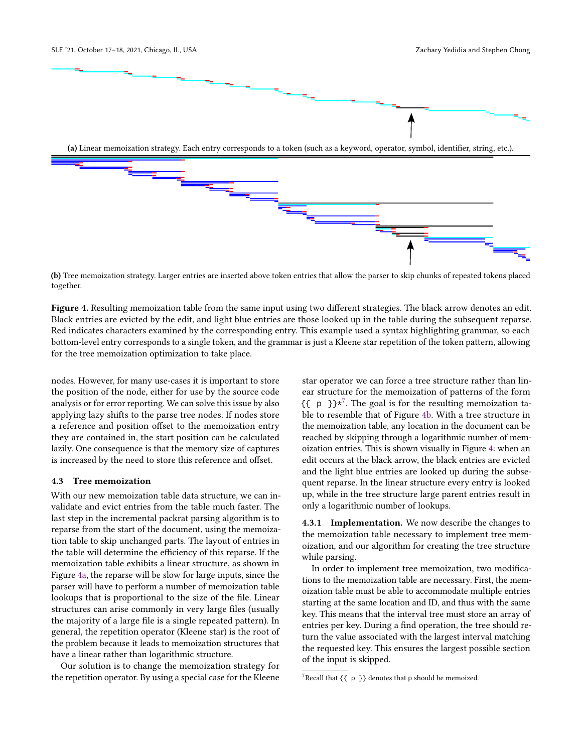<span id="page-5-0"></span>

(b) Tree memoization strategy. Larger entries are inserted above token entries that allow the parser to skip chunks of repeated tokens placed together.

Figure 4. Resulting memoization table from the same input using two different strategies. The black arrow denotes an edit. Black entries are evicted by the edit, and light blue entries are those looked up in the table during the subsequent reparse. Red indicates characters examined by the corresponding entry. This example used a syntax highlighting grammar, so each bottom-level entry corresponds to a single token, and the grammar is just a Kleene star repetition of the token pattern, allowing for the tree memoization optimization to take place.

nodes. However, for many use-cases it is important to store the position of the node, either for use by the source code analysis or for error reporting. We can solve this issue by also applying lazy shifts to the parse tree nodes. If nodes store a reference and position offset to the memoization entry they are contained in, the start position can be calculated lazily. One consequence is that the memory size of captures is increased by the need to store this reference and offset.

#### <span id="page-5-2"></span>4.3 Tree memoization

With our new memoization table data structure, we can invalidate and evict entries from the table much faster. The last step in the incremental packrat parsing algorithm is to reparse from the start of the document, using the memoization table to skip unchanged parts. The layout of entries in the table will determine the efficiency of this reparse. If the memoization table exhibits a linear structure, as shown in Figure [4a,](#page-5-0) the reparse will be slow for large inputs, since the parser will have to perform a number of memoization table lookups that is proportional to the size of the file. Linear structures can arise commonly in very large files (usually the majority of a large file is a single repeated pattern). In general, the repetition operator (Kleene star) is the root of the problem because it leads to memoization structures that have a linear rather than logarithmic structure.

Our solution is to change the memoization strategy for the repetition operator. By using a special case for the Kleene star operator we can force a tree structure rather than linear structure for the memoization of patterns of the form  $\{ \{\pmb{p} \} \} \star^7$  $\{ \{\pmb{p} \} \} \star^7$ . The goal is for the resulting memoization table to resemble that of Figure [4b.](#page-5-0) With a tree structure in the memoization table, any location in the document can be reached by skipping through a logarithmic number of memoization entries. This is shown visually in Figure [4:](#page-5-0) when an edit occurs at the black arrow, the black entries are evicted and the light blue entries are looked up during the subsequent reparse. In the linear structure every entry is looked up, while in the tree structure large parent entries result in only a logarithmic number of lookups.

4.3.1 Implementation. We now describe the changes to the memoization table necessary to implement tree memoization, and our algorithm for creating the tree structure while parsing.

In order to implement tree memoization, two modifications to the memoization table are necessary. First, the memoization table must be able to accommodate multiple entries starting at the same location and ID, and thus with the same key. This means that the interval tree must store an array of entries per key. During a find operation, the tree should return the value associated with the largest interval matching the requested key. This ensures the largest possible section of the input is skipped.

<span id="page-5-1"></span><sup>&</sup>lt;sup>7</sup>Recall that {{  $p$  }} denotes that p should be memoized.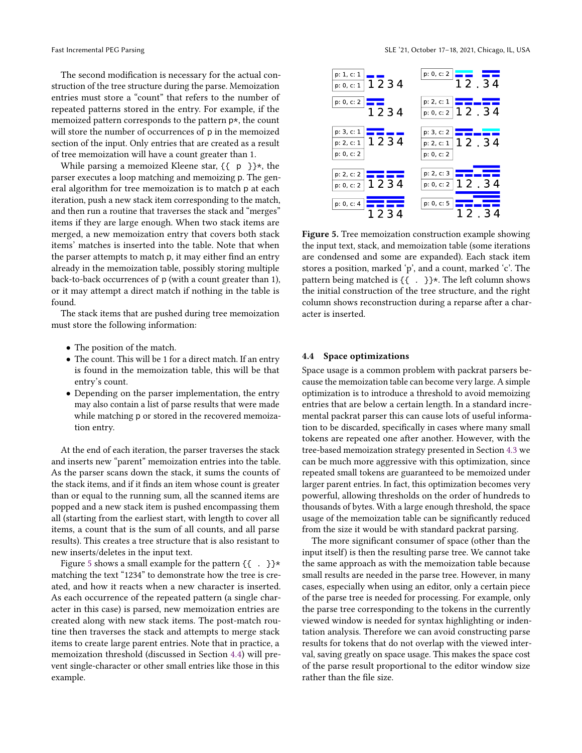The second modification is necessary for the actual construction of the tree structure during the parse. Memoization entries must store a "count" that refers to the number of repeated patterns stored in the entry. For example, if the memoized pattern corresponds to the pattern p\*, the count will store the number of occurrences of p in the memoized section of the input. Only entries that are created as a result of tree memoization will have a count greater than 1.

While parsing a memoized Kleene star,  $\{ \{ p \} \} \star$ , the parser executes a loop matching and memoizing p. The general algorithm for tree memoization is to match p at each iteration, push a new stack item corresponding to the match, and then run a routine that traverses the stack and "merges" items if they are large enough. When two stack items are merged, a new memoization entry that covers both stack items' matches is inserted into the table. Note that when the parser attempts to match p, it may either find an entry already in the memoization table, possibly storing multiple back-to-back occurrences of p (with a count greater than 1), or it may attempt a direct match if nothing in the table is found.

The stack items that are pushed during tree memoization must store the following information:

- The position of the match.
- The count. This will be 1 for a direct match. If an entry is found in the memoization table, this will be that entry's count.
- Depending on the parser implementation, the entry may also contain a list of parse results that were made while matching p or stored in the recovered memoization entry.

At the end of each iteration, the parser traverses the stack and inserts new "parent" memoization entries into the table. As the parser scans down the stack, it sums the counts of the stack items, and if it finds an item whose count is greater than or equal to the running sum, all the scanned items are popped and a new stack item is pushed encompassing them all (starting from the earliest start, with length to cover all items, a count that is the sum of all counts, and all parse results). This creates a tree structure that is also resistant to new inserts/deletes in the input text.

Figure [5](#page-6-0) shows a small example for the pattern  $\{\{\ \ .\ \}\}^*$ matching the text "1234" to demonstrate how the tree is created, and how it reacts when a new character is inserted. As each occurrence of the repeated pattern (a single character in this case) is parsed, new memoization entries are created along with new stack items. The post-match routine then traverses the stack and attempts to merge stack items to create large parent entries. Note that in practice, a memoization threshold (discussed in Section [4.4\)](#page-6-1) will prevent single-character or other small entries like those in this example.

<span id="page-6-0"></span>

Figure 5. Tree memoization construction example showing the input text, stack, and memoization table (some iterations are condensed and some are expanded). Each stack item stores a position, marked 'p', and a count, marked 'c'. The pattern being matched is {{ . }}\*. The left column shows the initial construction of the tree structure, and the right column shows reconstruction during a reparse after a character is inserted.

#### <span id="page-6-1"></span>4.4 Space optimizations

Space usage is a common problem with packrat parsers because the memoization table can become very large. A simple optimization is to introduce a threshold to avoid memoizing entries that are below a certain length. In a standard incremental packrat parser this can cause lots of useful information to be discarded, specifically in cases where many small tokens are repeated one after another. However, with the tree-based memoization strategy presented in Section [4.3](#page-5-2) we can be much more aggressive with this optimization, since repeated small tokens are guaranteed to be memoized under larger parent entries. In fact, this optimization becomes very powerful, allowing thresholds on the order of hundreds to thousands of bytes. With a large enough threshold, the space usage of the memoization table can be significantly reduced from the size it would be with standard packrat parsing.

The more significant consumer of space (other than the input itself) is then the resulting parse tree. We cannot take the same approach as with the memoization table because small results are needed in the parse tree. However, in many cases, especially when using an editor, only a certain piece of the parse tree is needed for processing. For example, only the parse tree corresponding to the tokens in the currently viewed window is needed for syntax highlighting or indentation analysis. Therefore we can avoid constructing parse results for tokens that do not overlap with the viewed interval, saving greatly on space usage. This makes the space cost of the parse result proportional to the editor window size rather than the file size.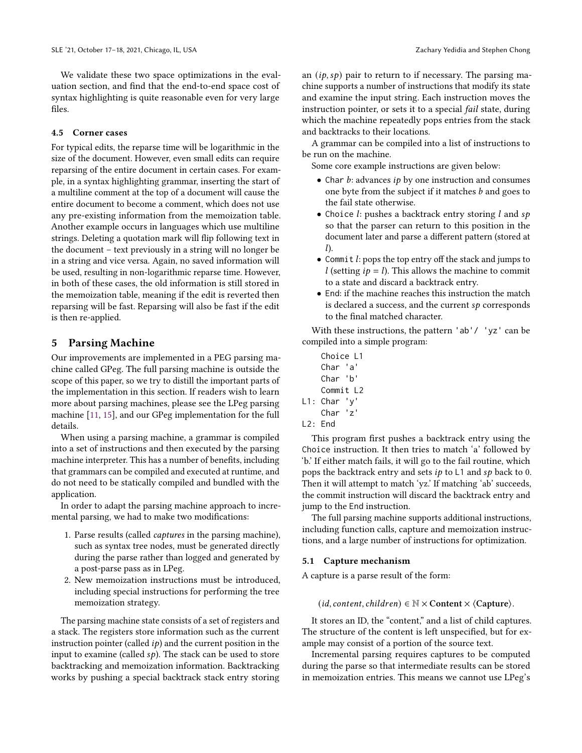We validate these two space optimizations in the evaluation section, and find that the end-to-end space cost of syntax highlighting is quite reasonable even for very large files.

#### 4.5 Corner cases

For typical edits, the reparse time will be logarithmic in the size of the document. However, even small edits can require reparsing of the entire document in certain cases. For example, in a syntax highlighting grammar, inserting the start of a multiline comment at the top of a document will cause the entire document to become a comment, which does not use any pre-existing information from the memoization table. Another example occurs in languages which use multiline strings. Deleting a quotation mark will flip following text in the document – text previously in a string will no longer be in a string and vice versa. Again, no saved information will be used, resulting in non-logarithmic reparse time. However, in both of these cases, the old information is still stored in the memoization table, meaning if the edit is reverted then reparsing will be fast. Reparsing will also be fast if the edit is then re-applied.

#### 5 Parsing Machine

Our improvements are implemented in a PEG parsing machine called GPeg. The full parsing machine is outside the scope of this paper, so we try to distill the important parts of the implementation in this section. If readers wish to learn more about parsing machines, please see the LPeg parsing machine [\[11,](#page-13-11) [15\]](#page-13-12), and our GPeg implementation for the full details.

When using a parsing machine, a grammar is compiled into a set of instructions and then executed by the parsing machine interpreter. This has a number of benefits, including that grammars can be compiled and executed at runtime, and do not need to be statically compiled and bundled with the application.

In order to adapt the parsing machine approach to incremental parsing, we had to make two modifications:

- 1. Parse results (called captures in the parsing machine), such as syntax tree nodes, must be generated directly during the parse rather than logged and generated by a post-parse pass as in LPeg.
- 2. New memoization instructions must be introduced, including special instructions for performing the tree memoization strategy.

The parsing machine state consists of a set of registers and a stack. The registers store information such as the current instruction pointer (called  $ip$ ) and the current position in the input to examine (called  $sp$ ). The stack can be used to store backtracking and memoization information. Backtracking works by pushing a special backtrack stack entry storing an  $(i\rho, s\rho)$  pair to return to if necessary. The parsing machine supports a number of instructions that modify its state and examine the input string. Each instruction moves the instruction pointer, or sets it to a special fail state, during which the machine repeatedly pops entries from the stack and backtracks to their locations.

A grammar can be compiled into a list of instructions to be run on the machine.

Some core example instructions are given below:

- Char  $b$ : advances  $i p$  by one instruction and consumes one byte from the subject if it matches  $b$  and goes to the fail state otherwise.
- Choice  $l$ : pushes a backtrack entry storing  $l$  and  $sp$ so that the parser can return to this position in the document later and parse a different pattern (stored at  $l$ ).
- Commit  $l$ : pops the top entry off the stack and jumps to  $l$  (setting  $ip = l$ ). This allows the machine to commit to a state and discard a backtrack entry.
- End: if the machine reaches this instruction the match is declared a success, and the current  $sp$  corresponds to the final matched character.

With these instructions, the pattern 'ab'/ 'yz' can be compiled into a simple program:

- Choice L1 Char 'a' Char 'b' Commit L2 L1: Char 'y' Char 'z'
- L2: End

This program first pushes a backtrack entry using the Choice instruction. It then tries to match 'a' followed by 'b.' If either match fails, it will go to the fail routine, which pops the backtrack entry and sets  $ip$  to  $L1$  and  $sp$  back to 0. Then it will attempt to match 'yz.' If matching 'ab' succeeds, the commit instruction will discard the backtrack entry and jump to the End instruction.

The full parsing machine supports additional instructions, including function calls, capture and memoization instructions, and a large number of instructions for optimization.

#### 5.1 Capture mechanism

A capture is a parse result of the form:

(*id*, content, children)  $\in \mathbb{N} \times$  Content  $\times$   $\langle$  Capture $\rangle$ .

It stores an ID, the "content," and a list of child captures. The structure of the content is left unspecified, but for example may consist of a portion of the source text.

Incremental parsing requires captures to be computed during the parse so that intermediate results can be stored in memoization entries. This means we cannot use LPeg's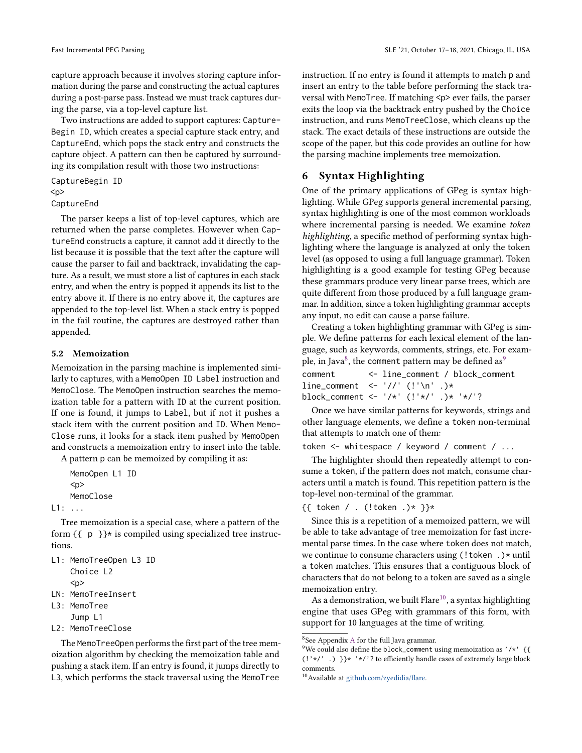capture approach because it involves storing capture information during the parse and constructing the actual captures during a post-parse pass. Instead we must track captures during the parse, via a top-level capture list.

Two instructions are added to support captures: Capture-Begin ID, which creates a special capture stack entry, and CaptureEnd, which pops the stack entry and constructs the capture object. A pattern can then be captured by surrounding its compilation result with those two instructions:

CaptureBegin ID

```
<p>
```
CaptureEnd

The parser keeps a list of top-level captures, which are returned when the parse completes. However when CaptureEnd constructs a capture, it cannot add it directly to the list because it is possible that the text after the capture will cause the parser to fail and backtrack, invalidating the capture. As a result, we must store a list of captures in each stack entry, and when the entry is popped it appends its list to the entry above it. If there is no entry above it, the captures are appended to the top-level list. When a stack entry is popped in the fail routine, the captures are destroyed rather than appended.

#### 5.2 Memoization

Memoization in the parsing machine is implemented similarly to captures, with a MemoOpen ID Label instruction and MemoClose. The MemoOpen instruction searches the memoization table for a pattern with ID at the current position. If one is found, it jumps to Label, but if not it pushes a stack item with the current position and ID. When Memo-Close runs, it looks for a stack item pushed by MemoOpen and constructs a memoization entry to insert into the table.

A pattern p can be memoized by compiling it as:

MemoOpen L1 ID  $<sub>D</sub>$ </sub> MemoClose

```
L1: ...
```
Tree memoization is a special case, where a pattern of the form  $\{ \pmb{\phi} \}^*$  is compiled using specialized tree instructions.

L1: MemoTreeOpen L3 ID Choice L2

 $<sub>D</sub>$ </sub>

```
LN: MemoTreeInsert
```

```
L3: MemoTree
```

```
Jump L1
```
L2: MemoTreeClose

The MemoTreeOpen performs the first part of the tree memoization algorithm by checking the memoization table and pushing a stack item. If an entry is found, it jumps directly to L3, which performs the stack traversal using the MemoTree

instruction. If no entry is found it attempts to match p and insert an entry to the table before performing the stack traversal with MemoTree. If matching <p> ever fails, the parser exits the loop via the backtrack entry pushed by the Choice instruction, and runs MemoTreeClose, which cleans up the stack. The exact details of these instructions are outside the scope of the paper, but this code provides an outline for how the parsing machine implements tree memoization.

# 6 Syntax Highlighting

One of the primary applications of GPeg is syntax highlighting. While GPeg supports general incremental parsing, syntax highlighting is one of the most common workloads where incremental parsing is needed. We examine token highlighting, a specific method of performing syntax highlighting where the language is analyzed at only the token level (as opposed to using a full language grammar). Token highlighting is a good example for testing GPeg because these grammars produce very linear parse trees, which are quite different from those produced by a full language grammar. In addition, since a token highlighting grammar accepts any input, no edit can cause a parse failure.

Creating a token highlighting grammar with GPeg is simple. We define patterns for each lexical element of the language, such as keywords, comments, strings, etc. For exam-ple, in Java<sup>[8](#page-8-0)</sup>, the comment pattern may be defined as<sup>[9](#page-8-1)</sup>

| comment                                |  |  | <- line_comment / block_comment |
|----------------------------------------|--|--|---------------------------------|
| line_comment <- $'//$ (!'\n' .)*       |  |  |                                 |
| block_comment <- '/*' (!'*/' .)* '*/'? |  |  |                                 |

Once we have similar patterns for keywords, strings and other language elements, we define a token non-terminal that attempts to match one of them:

token <- whitespace / keyword / comment / ...

The highlighter should then repeatedly attempt to consume a token, if the pattern does not match, consume characters until a match is found. This repetition pattern is the top-level non-terminal of the grammar.

#### {{ token / . (!token .)\* }}\*

Since this is a repetition of a memoized pattern, we will be able to take advantage of tree memoization for fast incremental parse times. In the case where token does not match, we continue to consume characters using (! token . )\* until a token matches. This ensures that a contiguous block of characters that do not belong to a token are saved as a single memoization entry.

As a demonstration, we built Flare<sup>[10](#page-8-2)</sup>, a syntax highlighting engine that uses GPeg with grammars of this form, with support for 10 languages at the time of writing.

<span id="page-8-0"></span> $8$ See [A](#page-12-0)ppendix A for the full Java grammar.

<span id="page-8-1"></span><sup>&</sup>lt;sup>9</sup>We could also define the block\_comment using memoization as '/\*' {{ (!'\*/' .) }}\* '\*/'? to efficiently handle cases of extremely large block comments.

<span id="page-8-2"></span><sup>10</sup>Available at [github.com/zyedidia/flare.](https://github.com/zyedidia/flare)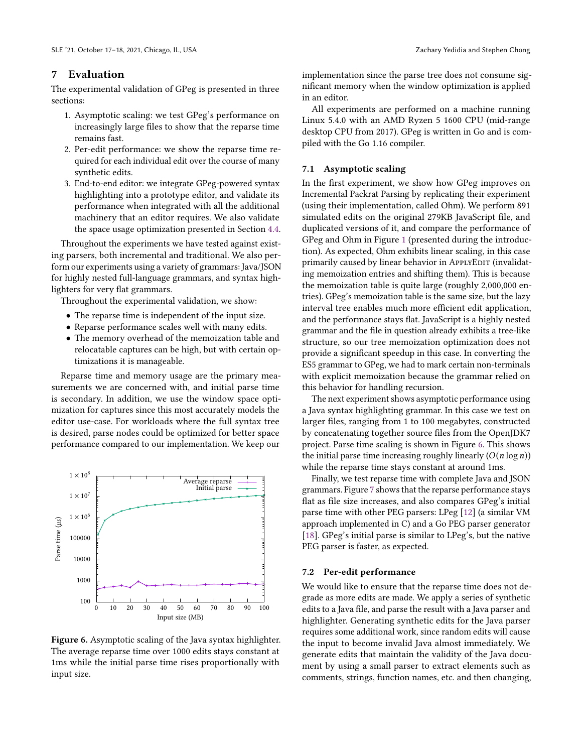# 7 Evaluation

The experimental validation of GPeg is presented in three sections:

- 1. Asymptotic scaling: we test GPeg's performance on increasingly large files to show that the reparse time remains fast.
- 2. Per-edit performance: we show the reparse time required for each individual edit over the course of many synthetic edits.
- 3. End-to-end editor: we integrate GPeg-powered syntax highlighting into a prototype editor, and validate its performance when integrated with all the additional machinery that an editor requires. We also validate the space usage optimization presented in Section [4.4.](#page-6-1)

Throughout the experiments we have tested against existing parsers, both incremental and traditional. We also perform our experiments using a variety of grammars: Java/JSON for highly nested full-language grammars, and syntax highlighters for very flat grammars.

Throughout the experimental validation, we show:

- The reparse time is independent of the input size.
- Reparse performance scales well with many edits.
- The memory overhead of the memoization table and relocatable captures can be high, but with certain optimizations it is manageable.

Reparse time and memory usage are the primary measurements we are concerned with, and initial parse time is secondary. In addition, we use the window space optimization for captures since this most accurately models the editor use-case. For workloads where the full syntax tree is desired, parse nodes could be optimized for better space performance compared to our implementation. We keep our

<span id="page-9-0"></span>![](_page_9_Figure_13.jpeg)

Figure 6. Asymptotic scaling of the Java syntax highlighter. The average reparse time over 1000 edits stays constant at 1ms while the initial parse time rises proportionally with input size.

implementation since the parse tree does not consume significant memory when the window optimization is applied in an editor.

All experiments are performed on a machine running Linux 5.4.0 with an AMD Ryzen 5 1600 CPU (mid-range desktop CPU from 2017). GPeg is written in Go and is compiled with the Go 1.16 compiler.

#### 7.1 Asymptotic scaling

In the first experiment, we show how GPeg improves on Incremental Packrat Parsing by replicating their experiment (using their implementation, called Ohm). We perform 891 simulated edits on the original 279KB JavaScript file, and duplicated versions of it, and compare the performance of GPeg and Ohm in Figure [1](#page-0-0) (presented during the introduction). As expected, Ohm exhibits linear scaling, in this case primarily caused by linear behavior in ApplyEDIT (invalidating memoization entries and shifting them). This is because the memoization table is quite large (roughly 2,000,000 entries). GPeg's memoization table is the same size, but the lazy interval tree enables much more efficient edit application, and the performance stays flat. JavaScript is a highly nested grammar and the file in question already exhibits a tree-like structure, so our tree memoization optimization does not provide a significant speedup in this case. In converting the ES5 grammar to GPeg, we had to mark certain non-terminals with explicit memoization because the grammar relied on this behavior for handling recursion.

The next experiment shows asymptotic performance using a Java syntax highlighting grammar. In this case we test on larger files, ranging from 1 to 100 megabytes, constructed by concatenating together source files from the OpenJDK7 project. Parse time scaling is shown in Figure [6.](#page-9-0) This shows the initial parse time increasing roughly linearly  $(O(n \log n))$ while the reparse time stays constant at around 1ms.

Finally, we test reparse time with complete Java and JSON grammars. Figure [7](#page-10-0) shows that the reparse performance stays flat as file size increases, and also compares GPeg's initial parse time with other PEG parsers: LPeg [\[12\]](#page-13-13) (a similar VM approach implemented in C) and a Go PEG parser generator [\[18\]](#page-13-17). GPeg's initial parse is similar to LPeg's, but the native PEG parser is faster, as expected.

#### 7.2 Per-edit performance

We would like to ensure that the reparse time does not degrade as more edits are made. We apply a series of synthetic edits to a Java file, and parse the result with a Java parser and highlighter. Generating synthetic edits for the Java parser requires some additional work, since random edits will cause the input to become invalid Java almost immediately. We generate edits that maintain the validity of the Java document by using a small parser to extract elements such as comments, strings, function names, etc. and then changing,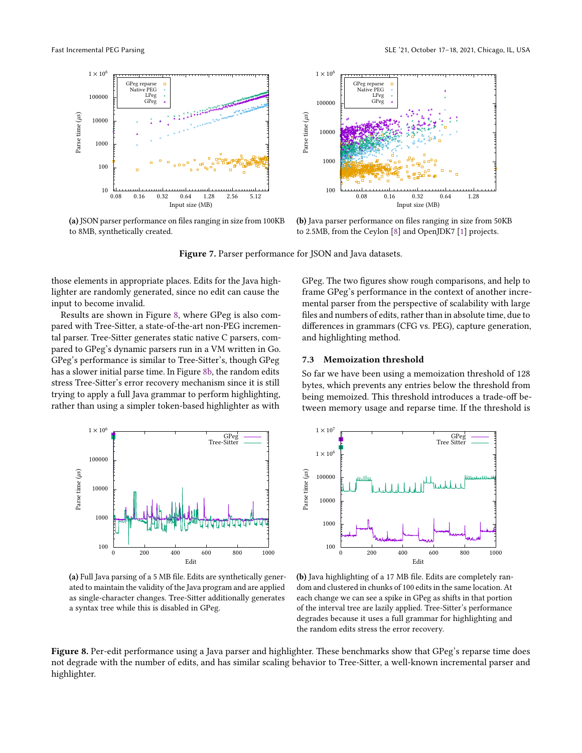<span id="page-10-0"></span>![](_page_10_Figure_2.jpeg)

(a) JSON parser performance on files ranging in size from 100KB to 8MB, synthetically created.

![](_page_10_Figure_4.jpeg)

(b) Java parser performance on files ranging in size from 50KB to 2.5MB, from the Ceylon [\[8\]](#page-13-18) and OpenJDK7 [\[1\]](#page-13-19) projects.

Figure 7. Parser performance for JSON and Java datasets.

those elements in appropriate places. Edits for the Java highlighter are randomly generated, since no edit can cause the input to become invalid.

Results are shown in Figure [8,](#page-10-1) where GPeg is also compared with Tree-Sitter, a state-of-the-art non-PEG incremental parser. Tree-Sitter generates static native C parsers, compared to GPeg's dynamic parsers run in a VM written in Go. GPeg's performance is similar to Tree-Sitter's, though GPeg has a slower initial parse time. In Figure [8b,](#page-10-1) the random edits stress Tree-Sitter's error recovery mechanism since it is still trying to apply a full Java grammar to perform highlighting, rather than using a simpler token-based highlighter as with

GPeg. The two figures show rough comparisons, and help to frame GPeg's performance in the context of another incremental parser from the perspective of scalability with large files and numbers of edits, rather than in absolute time, due to differences in grammars (CFG vs. PEG), capture generation, and highlighting method.

#### 7.3 Memoization threshold

So far we have been using a memoization threshold of 128 bytes, which prevents any entries below the threshold from being memoized. This threshold introduces a trade-off between memory usage and reparse time. If the threshold is

<span id="page-10-1"></span>![](_page_10_Figure_12.jpeg)

(a) Full Java parsing of a 5 MB file. Edits are synthetically generated to maintain the validity of the Java program and are applied as single-character changes. Tree-Sitter additionally generates a syntax tree while this is disabled in GPeg.

![](_page_10_Figure_14.jpeg)

(b) Java highlighting of a 17 MB file. Edits are completely random and clustered in chunks of 100 edits in the same location. At each change we can see a spike in GPeg as shifts in that portion of the interval tree are lazily applied. Tree-Sitter's performance degrades because it uses a full grammar for highlighting and the random edits stress the error recovery.

Figure 8. Per-edit performance using a Java parser and highlighter. These benchmarks show that GPeg's reparse time does not degrade with the number of edits, and has similar scaling behavior to Tree-Sitter, a well-known incremental parser and highlighter.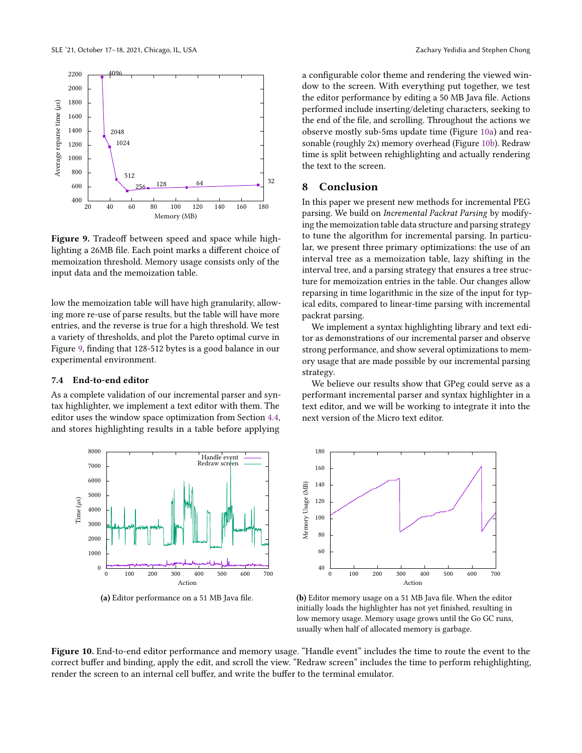<span id="page-11-0"></span>![](_page_11_Figure_1.jpeg)

Figure 9. Tradeoff between speed and space while highlighting a 26MB file. Each point marks a different choice of memoization threshold. Memory usage consists only of the input data and the memoization table.

low the memoization table will have high granularity, allowing more re-use of parse results, but the table will have more entries, and the reverse is true for a high threshold. We test a variety of thresholds, and plot the Pareto optimal curve in Figure [9,](#page-11-0) finding that 128-512 bytes is a good balance in our experimental environment.

#### 7.4 End-to-end editor

As a complete validation of our incremental parser and syntax highlighter, we implement a text editor with them. The editor uses the window space optimization from Section [4.4,](#page-6-1) and stores highlighting results in a table before applying

<span id="page-11-1"></span>![](_page_11_Figure_6.jpeg)

(a) Editor performance on a 51 MB Java file.

a configurable color theme and rendering the viewed window to the screen. With everything put together, we test the editor performance by editing a 50 MB Java file. Actions performed include inserting/deleting characters, seeking to the end of the file, and scrolling. Throughout the actions we observe mostly sub-5ms update time (Figure [10a\)](#page-11-1) and reasonable (roughly 2x) memory overhead (Figure [10b\)](#page-11-1). Redraw time is split between rehighlighting and actually rendering the text to the screen.

# 8 Conclusion

In this paper we present new methods for incremental PEG parsing. We build on Incremental Packrat Parsing by modifying the memoization table data structure and parsing strategy to tune the algorithm for incremental parsing. In particular, we present three primary optimizations: the use of an interval tree as a memoization table, lazy shifting in the interval tree, and a parsing strategy that ensures a tree structure for memoization entries in the table. Our changes allow reparsing in time logarithmic in the size of the input for typical edits, compared to linear-time parsing with incremental packrat parsing.

We implement a syntax highlighting library and text editor as demonstrations of our incremental parser and observe strong performance, and show several optimizations to memory usage that are made possible by our incremental parsing strategy.

We believe our results show that GPeg could serve as a performant incremental parser and syntax highlighter in a text editor, and we will be working to integrate it into the next version of the Micro text editor.

![](_page_11_Figure_14.jpeg)

(b) Editor memory usage on a 51 MB Java file. When the editor initially loads the highlighter has not yet finished, resulting in low memory usage. Memory usage grows until the Go GC runs, usually when half of allocated memory is garbage.

Figure 10. End-to-end editor performance and memory usage. "Handle event" includes the time to route the event to the correct buffer and binding, apply the edit, and scroll the view. "Redraw screen" includes the time to perform rehighlighting, render the screen to an internal cell buffer, and write the buffer to the terminal emulator.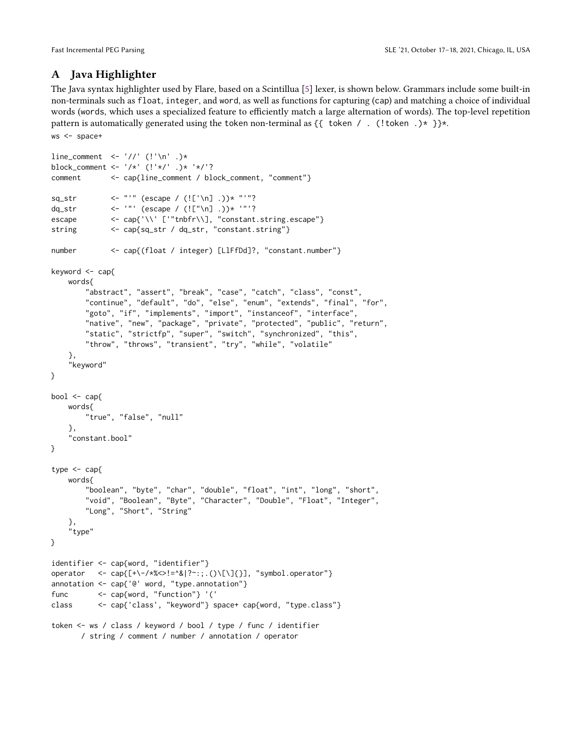# <span id="page-12-0"></span>A Java Highlighter

The Java syntax highlighter used by Flare, based on a Scintillua [\[5\]](#page-13-20) lexer, is shown below. Grammars include some built-in non-terminals such as float, integer, and word, as well as functions for capturing (cap) and matching a choice of individual words (words, which uses a specialized feature to efficiently match a large alternation of words). The top-level repetition pattern is automatically generated using the token non-terminal as  $\{\{\text{token } / \}$ . (!token .)\* }}\*. ws <- space+

```
line_comment <- '//' (!'\n' .)*
block_comment <- '/*' (!'*/' .)* '*/'?
comment <- cap{line_comment / block_comment, "comment"}
sq_str \leftarrow "'" (escape / (!['\n] .))* "'"?
dq_str <- '"' (escape / (!["\n] .))* '"'?
escape <- cap{'\\' ['"tnbfr\\], "constant.string.escape"}
string <- cap{sq_str / dq_str, "constant.string"}
number <- cap{(float / integer) [LlFfDd]?, "constant.number"}
keyword <- cap{
   words{
        "abstract", "assert", "break", "case", "catch", "class", "const",
        "continue", "default", "do", "else", "enum", "extends", "final", "for",
        "goto", "if", "implements", "import", "instanceof", "interface",
        "native", "new", "package", "private", "protected", "public", "return",
        "static", "strictfp", "super", "switch", "synchronized", "this",
        "throw", "throws", "transient", "try", "while", "volatile"
    },
    "keyword"
}
bool \leq cap{
   words{
        "true", "false", "null"
    },
    "constant.bool"
}
type <- cap{
   words{
        "boolean", "byte", "char", "double", "float", "int", "long", "short",
        "void", "Boolean", "Byte", "Character", "Double", "Float", "Integer",
        "Long", "Short", "String"
    },
    "type"
}
identifier <- cap{word, "identifier"}
operator <- cap{[+\-/*%<>!=^&|?~:;.()\[\]{}], "symbol.operator"}
annotation <- cap{'@' word, "type.annotation"}
func <- cap{word, "function"} '('
class <- cap{'class', "keyword"} space+ cap{word, "type.class"}
token <- ws / class / keyword / bool / type / func / identifier
       / string / comment / number / annotation / operator
```